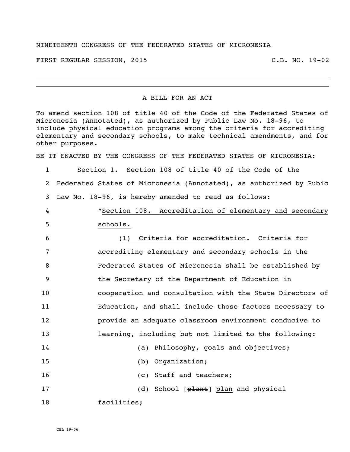## NINETEENTH CONGRESS OF THE FEDERATED STATES OF MICRONESIA

FIRST REGULAR SESSION, 2015 C.B. NO. 19-02

## A BILL FOR AN ACT

To amend section 108 of title 40 of the Code of the Federated States of Micronesia (Annotated), as authorized by Public Law No. 18-96, to include physical education programs among the criteria for accrediting elementary and secondary schools, to make technical amendments, and for other purposes.

BE IT ENACTED BY THE CONGRESS OF THE FEDERATED STATES OF MICRONESIA:

1 Section 1. Section 108 of title 40 of the Code of the 2 Federated States of Micronesia (Annotated), as authorized by Pubic 3 Law No. 18-96, is hereby amended to read as follows:

4 "Section 108. Accreditation of elementary and secondary 5 schools.

 (1) Criteria for accreditation. Criteria for accrediting elementary and secondary schools in the Federated States of Micronesia shall be established by the Secretary of the Department of Education in cooperation and consultation with the State Directors of Education, and shall include those factors necessary to provide an adequate classroom environment conducive to learning, including but not limited to the following: (a) Philosophy, goals and objectives;

15 (b) Organization;

16 (c) Staff and teachers;

17 (d) School [plant] plan and physical

18 facilities;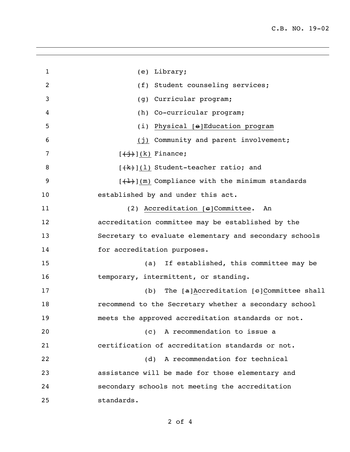| $\mathbf{1}$   | (e) Library;                                                           |
|----------------|------------------------------------------------------------------------|
| $\overline{c}$ | (f) Student counseling services;                                       |
| 3              | (g) Curricular program;                                                |
| 4              | (h) Co-curricular program;                                             |
| 5              | (i) Physical [e]Education program                                      |
| 6              | (j) Community and parent involvement;                                  |
| 7              | $[\frac{+i}{+j}]$ (k) Finance;                                         |
| 8              | $[\frac{1}{k}]$ (1) Student-teacher ratio; and                         |
| 9              | $[\frac{1}{2}, \frac{1}{2}]$ (m) Compliance with the minimum standards |
| 10             | established by and under this act.                                     |
| 11             | $(2)$ Accreditation $[e]$ Committee.<br>An                             |
| 12             | accreditation committee may be established by the                      |
| 13             | Secretary to evaluate elementary and secondary schools                 |
| 14             | for accreditation purposes.                                            |
| 15             | If established, this committee may be<br>(a)                           |
| 16             | temporary, intermittent, or standing.                                  |
| 17             | (b) The $[a]$ Accreditation $[e]$ Committee shall                      |
| 18             | recommend to the Secretary whether a secondary school                  |
| 19             | meets the approved accreditation standards or not.                     |
| 20             | A recommendation to issue a<br>(C)                                     |
| 21             | certification of accreditation standards or not.                       |
| 22             | (d) A recommendation for technical                                     |
| 23             | assistance will be made for those elementary and                       |
| 24             | secondary schools not meeting the accreditation                        |
| 25             | standards.                                                             |

of 4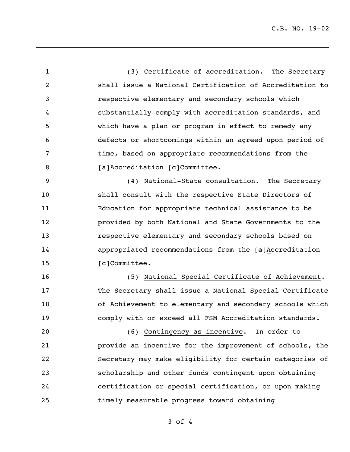(3) Certificate of accreditation. The Secretary shall issue a National Certification of Accreditation to respective elementary and secondary schools which substantially comply with accreditation standards, and which have a plan or program in effect to remedy any defects or shortcomings within an agreed upon period of 7 time, based on appropriate recommendations from the **[a]Accreditation [e]Committee.**  (4) National-State consultation. The Secretary shall consult with the respective State Directors of Education for appropriate technical assistance to be provided by both National and State Governments to the respective elementary and secondary schools based on appropriated recommendations from the [a]Accreditation 15 [e]Committee. (5) National Special Certificate of Achievement. The Secretary shall issue a National Special Certificate of Achievement to elementary and secondary schools which comply with or exceed all FSM Accreditation standards. (6) Contingency as incentive. In order to provide an incentive for the improvement of schools, the Secretary may make eligibility for certain categories of scholarship and other funds contingent upon obtaining certification or special certification, or upon making timely measurable progress toward obtaining

of 4